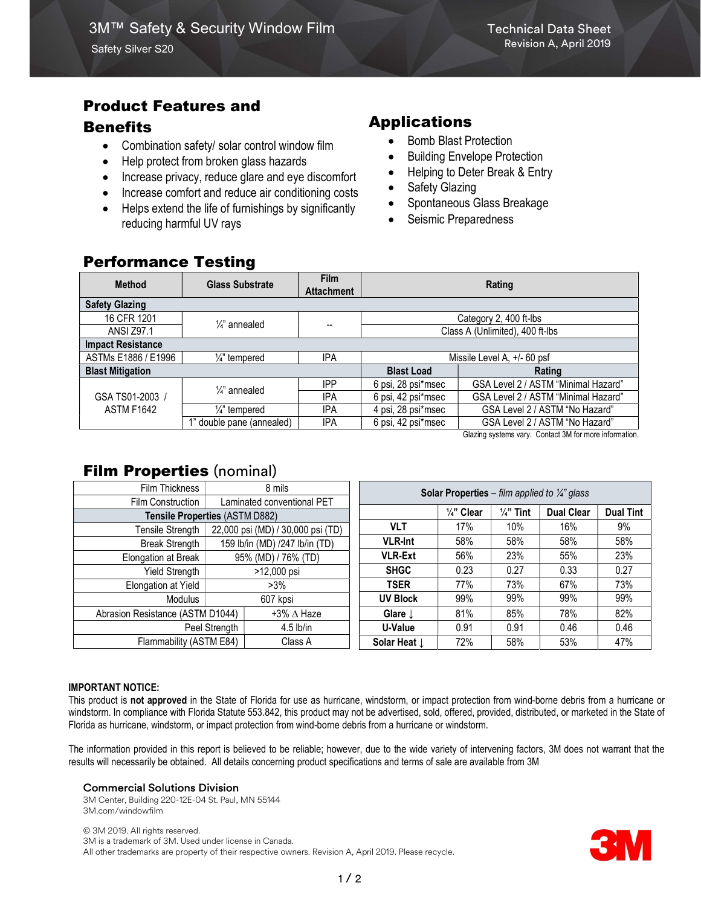# Product Features and

## **Benefits**

- Combination safety/ solar control window film
- Help protect from broken glass hazards
- Increase privacy, reduce glare and eye discomfort
- Increase comfort and reduce air conditioning costs
- Helps extend the life of furnishings by significantly reducing harmful UV rays

# Applications

- Bomb Blast Protection
- Building Envelope Protection
- Helping to Deter Break & Entry
- Safety Glazing
- Spontaneous Glass Breakage
- Seismic Preparedness

## Performance Testing

| <b>Method</b>                        | <b>Glass Substrate</b>     | <b>Film</b><br><b>Attachment</b> | Rating                                               |                                     |  |  |  |  |  |  |  |
|--------------------------------------|----------------------------|----------------------------------|------------------------------------------------------|-------------------------------------|--|--|--|--|--|--|--|
| <b>Safety Glazing</b>                |                            |                                  |                                                      |                                     |  |  |  |  |  |  |  |
| 16 CFR 1201                          | $\frac{1}{4}$ annealed     | --                               | Category 2, 400 ft-lbs                               |                                     |  |  |  |  |  |  |  |
| <b>ANSI Z97.1</b>                    |                            |                                  | Class A (Unlimited), 400 ft-lbs                      |                                     |  |  |  |  |  |  |  |
| <b>Impact Resistance</b>             |                            |                                  |                                                      |                                     |  |  |  |  |  |  |  |
| ASTMs E1886 / E1996                  | $\frac{1}{4}$ tempered     | <b>IPA</b>                       | Missile Level A, +/- 60 psf                          |                                     |  |  |  |  |  |  |  |
| <b>Blast Mitigation</b>              |                            |                                  | <b>Blast Load</b>                                    | Rating                              |  |  |  |  |  |  |  |
| GSA TS01-2003 /<br><b>ASTM F1642</b> | $\frac{1}{4}$ annealed     | <b>IPP</b>                       | 6 psi, 28 psi*msec                                   | GSA Level 2 / ASTM "Minimal Hazard" |  |  |  |  |  |  |  |
|                                      |                            | <b>IPA</b>                       | 6 psi, 42 psi*msec                                   | GSA Level 2 / ASTM "Minimal Hazard" |  |  |  |  |  |  |  |
|                                      | 1/ <sub>4</sub> " tempered | <b>IPA</b>                       | 4 psi, 28 psi*msec<br>GSA Level 2 / ASTM "No Hazard" |                                     |  |  |  |  |  |  |  |
|                                      | 1" double pane (annealed)  | <b>IPA</b>                       | 6 psi, 42 psi*msec                                   | GSA Level 2 / ASTM "No Hazard"      |  |  |  |  |  |  |  |

Glazing systems vary. Contact 3M for more information.

# **Film Properties (nominal)**

| Film Thickness                   | 8 mils                            |                   | <b>Solar Properties</b> – film applied to $\frac{1}{4}$ glass |                       |                      |                   |                  |  |  |
|----------------------------------|-----------------------------------|-------------------|---------------------------------------------------------------|-----------------------|----------------------|-------------------|------------------|--|--|
| Film Construction                | Laminated conventional PET        |                   |                                                               |                       |                      |                   |                  |  |  |
| Tensile Properties (ASTM D882)   |                                   |                   |                                                               | $\frac{1}{4}$ " Clear | $\frac{1}{4}$ " Tint | <b>Dual Clear</b> | <b>Dual Tint</b> |  |  |
| Tensile Strength                 | 22,000 psi (MD) / 30,000 psi (TD) |                   | VLT                                                           | 17%                   | 10%                  | 16%               | 9%               |  |  |
| <b>Break Strength</b>            | 159 lb/in (MD) /247 lb/in (TD)    |                   | <b>VLR-Int</b>                                                | 58%                   | 58%                  | 58%               | 58%              |  |  |
| Elongation at Break              | 95% (MD) / 76% (TD)               |                   | <b>VLR-Ext</b>                                                | 56%                   | 23%                  | 55%               | 23%              |  |  |
| <b>Yield Strength</b>            | >12,000 psi                       |                   | <b>SHGC</b>                                                   | 0.23                  | 0.27                 | 0.33              | 0.27             |  |  |
| Elongation at Yield              | $>3\%$                            |                   | <b>TSER</b>                                                   | 77%                   | 73%                  | 67%               | 73%              |  |  |
| Modulus                          | 607 kpsi                          |                   | <b>UV Block</b>                                               | 99%                   | 99%                  | 99%               | 99%              |  |  |
| Abrasion Resistance (ASTM D1044) |                                   | +3% $\Delta$ Haze | Glare $\downarrow$                                            | 81%                   | 85%                  | 78%               | 82%              |  |  |
| Peel Strength                    |                                   | $4.5$ lb/in       | U-Value                                                       | 0.91                  | 0.91                 | 0.46              | 0.46             |  |  |
| Flammability (ASTM E84)          |                                   | Class A           | Solar Heat $\downarrow$                                       | 72%                   | 58%                  | 53%               | 47%              |  |  |

#### IMPORTANT NOTICE:

This product is not approved in the State of Florida for use as hurricane, windstorm, or impact protection from wind-borne debris from a hurricane or windstorm. In compliance with Florida Statute 553.842, this product may not be advertised, sold, offered, provided, distributed, or marketed in the State of Florida as hurricane, windstorm, or impact protection from wind-borne debris from a hurricane or windstorm.

The information provided in this report is believed to be reliable; however, due to the wide variety of intervening factors, 3M does not warrant that the results will necessarily be obtained. All details concerning product specifications and terms of sale are available from 3M

#### Commercial Solutions Division

3M Center, Building 220-12E-04 St. Paul, MN 55144 3M.com/windowfilm

© 3M 2019. All rights reserved. 3M is a trademark of 3M. Used under license in Canada. All other trademarks are property of their respective owners. Revision A, April 2019. Please recycle.